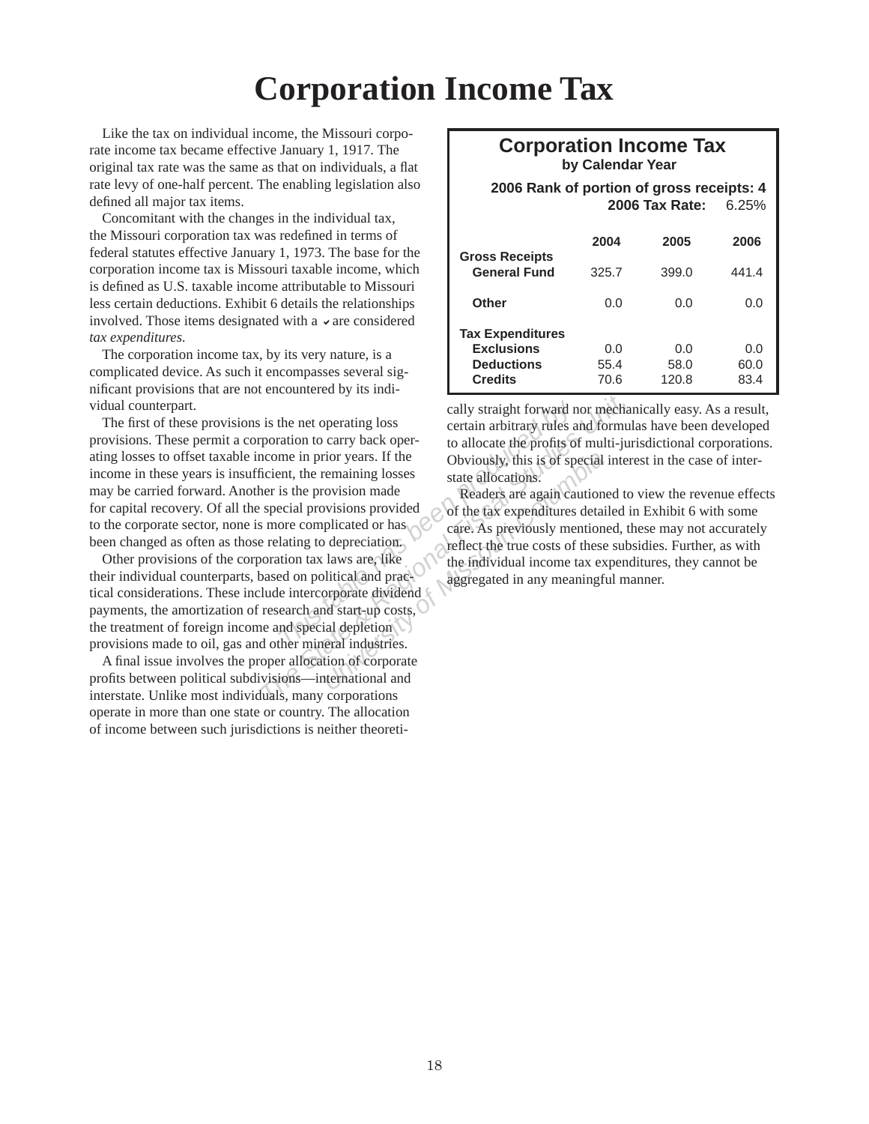## **Corporation Income Tax**

Like the tax on individual income, the Missouri corporate income tax became effective January 1, 1917. The original tax rate was the same as that on individuals, a flat rate levy of one-half percent. The enabling legislation also defined all major tax items.

Concomitant with the changes in the individual tax, the Missouri corporation tax was redefined in terms of federal statutes effective January 1, 1973. The base for the corporation income tax is Missouri taxable income, which is defined as U.S. taxable income attributable to Missouri less certain deductions. Exhibit 6 details the relationships involved. Those items designated with a  $\vee$  are considered  $tax$  expenditures.

The corporation income tax, by its very nature, is a complicated device. As such it encompasses several significant provisions that are not encountered by its individual counterpart.

The most of the most of the most of the most of the most of the most of the profits of the provision and excite the provisions is the provision made<br>
in the remaining losses is the provision made<br>
excited provisions provid Fig. 3. The state allocations of the minimal Figure and State allocations of the profits of multi-juncome in prior years. If the consider the profits of multi-juncome in prior years. If the consider the profits of multi-ju The first of these provisions is the net operating loss provisions. These permit a corporation to carry back operating losses to offset taxable income in prior years. If the income in these years is insufficient, the remaining losses may be carried forward. Another is the provision made for capital recovery. Of all the special provisions provided to the corporate sector, none is more complicated or has been changed as often as those relating to depreciation.

Other provisions of the corporation tax laws are, like their individual counterparts, based on political and practical considerations. These include intercorporate dividend payments, the amortization of research and start-up costs, the treatment of foreign income and special depletion provisions made to oil, gas and other mineral industries.

A final issue involves the proper allocation of corporate profits between political subdivisions—international and interstate. Unlike most individuals, many corporations operate in more than one state or country. The allocation of income between such jurisdictions is neither theoreti-

## **Corporation Income Tax by Calendar Year**

 **2006 Rank of portion of gross receipts: 4 2006 Tax Rate:** 6.25%

|                                              | 2004  | 2005  | 2006  |
|----------------------------------------------|-------|-------|-------|
| <b>Gross Receipts</b><br><b>General Fund</b> | 325.7 | 399.0 | 441.4 |
| Other                                        | 0.0   | 0.O   | 0.0   |
| <b>Tax Expenditures</b>                      |       |       |       |
| <b>Exclusions</b>                            | 0.0   | 0.O   | 0.O   |
| <b>Deductions</b>                            | 55.4  | 58.0  | 60.0  |
| <b>Credits</b>                               | 70.6  | 120.8 | 83.4  |

cally straight forward nor mechanically easy. As a result, certain arbitrary rules and formulas have been developed to allocate the profits of multi-jurisdictional corporations. Obviously, this is of special interest in the case of interstate allocations.

Frame Trip Trip Trip Christian Columbia<sup>r</sup><br>
Trip Christian School of the tax expenditures detain<br>
plicated or has<br>
Depreciation.<br>
Depreciation.<br>
Depreciation.<br>
Laws are, like<br>
plicated or has<br>
Depreciation.<br>
Laws are, like Readers are again cautioned to view the revenue effects of the tax expenditures detailed in Exhibit 6 with some care. As previously mentioned, these may not accurately reflect the true costs of these subsidies. Further, as with the individual income tax expenditures, they cannot be aggregated in any meaningful manner.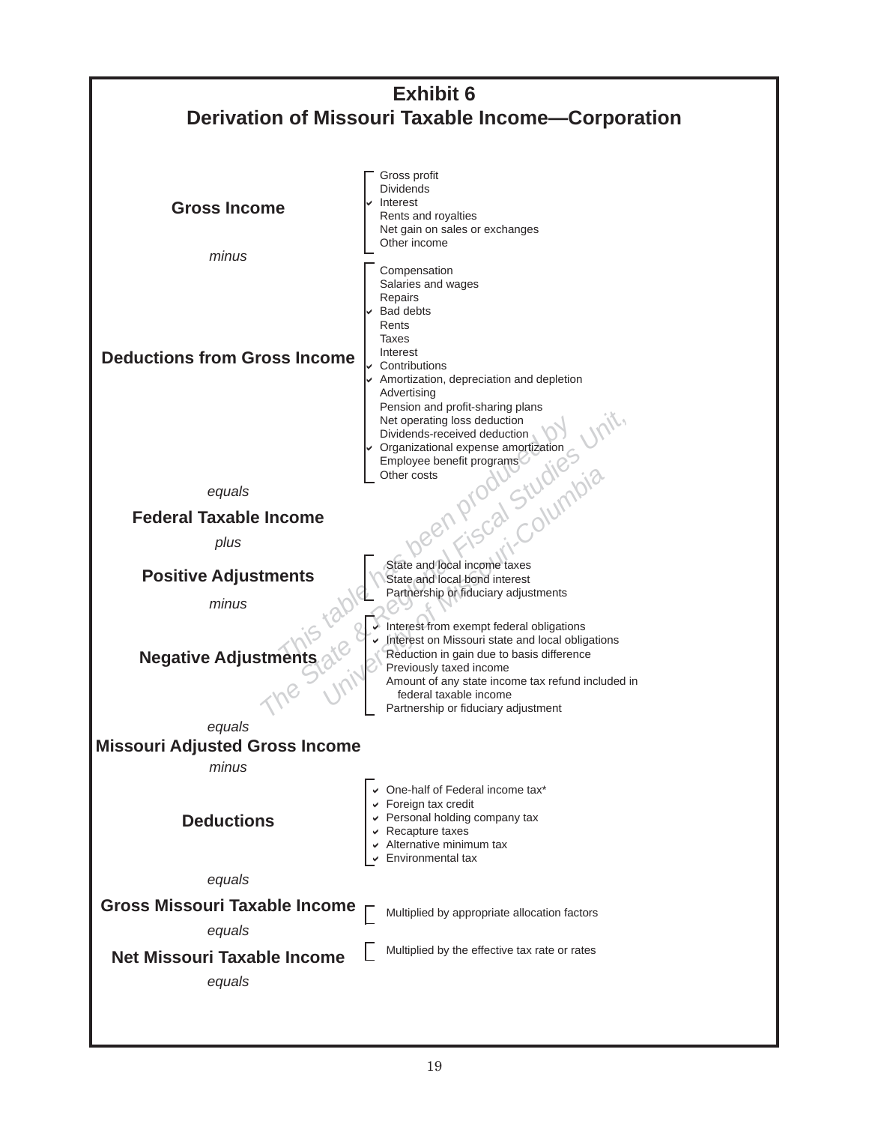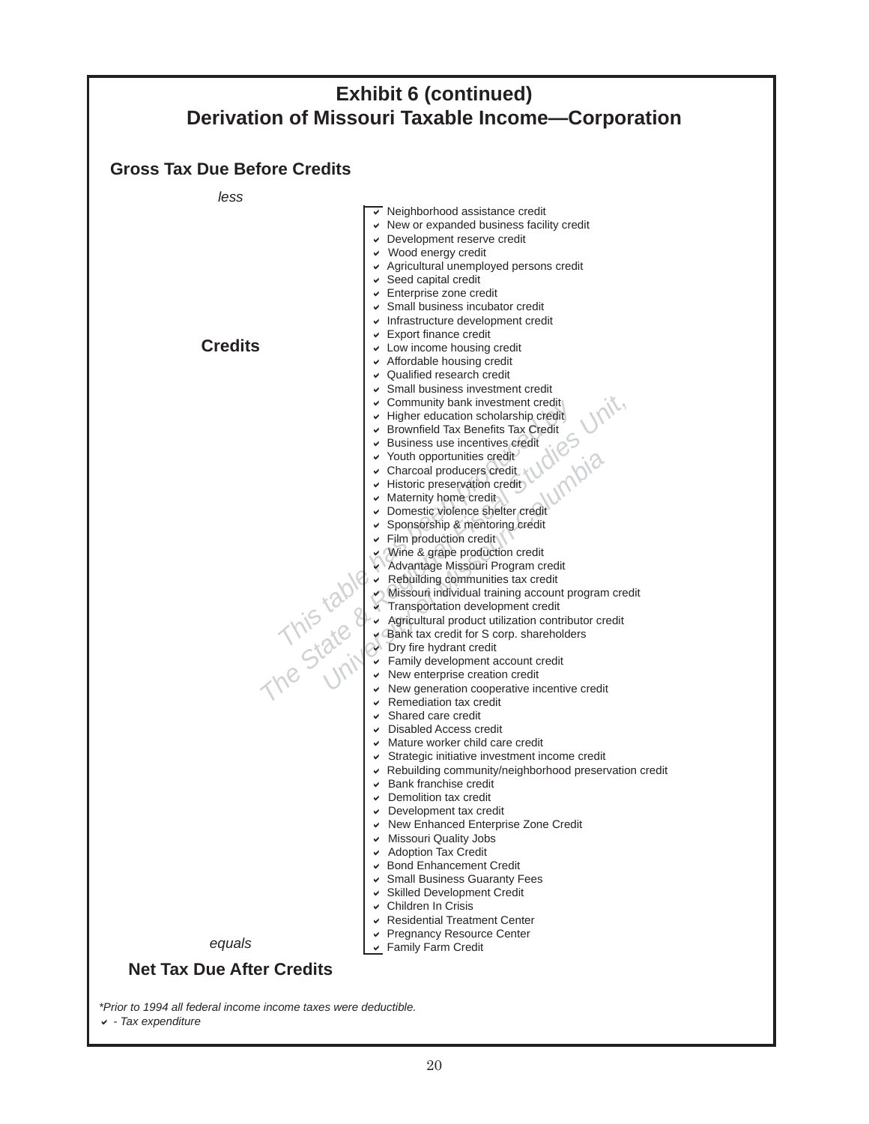|                                     | <b>Exhibit 6 (continued)</b>                                                                                                                                                                                                                                                                                                                                                                                                                                                                                                                                                                                                                                                                                                                                                                                                                                                                                                                                                                                                                                                                                                                                                             |
|-------------------------------------|------------------------------------------------------------------------------------------------------------------------------------------------------------------------------------------------------------------------------------------------------------------------------------------------------------------------------------------------------------------------------------------------------------------------------------------------------------------------------------------------------------------------------------------------------------------------------------------------------------------------------------------------------------------------------------------------------------------------------------------------------------------------------------------------------------------------------------------------------------------------------------------------------------------------------------------------------------------------------------------------------------------------------------------------------------------------------------------------------------------------------------------------------------------------------------------|
|                                     | <b>Derivation of Missouri Taxable Income-Corporation</b>                                                                                                                                                                                                                                                                                                                                                                                                                                                                                                                                                                                                                                                                                                                                                                                                                                                                                                                                                                                                                                                                                                                                 |
| <b>Gross Tax Due Before Credits</b> |                                                                                                                                                                                                                                                                                                                                                                                                                                                                                                                                                                                                                                                                                                                                                                                                                                                                                                                                                                                                                                                                                                                                                                                          |
| less                                |                                                                                                                                                                                                                                                                                                                                                                                                                                                                                                                                                                                                                                                                                                                                                                                                                                                                                                                                                                                                                                                                                                                                                                                          |
| <b>Credits</b>                      | $\overline{\mathsf{v}}$ Neighborhood assistance credit<br>↓ New or expanded business facility credit<br>Development reserve credit<br>v Wood energy credit<br>Agricultural unemployed persons credit<br>$\triangleright$ Seed capital credit<br>← Enterprise zone credit<br>Small business incubator credit<br>Infrastructure development credit<br>$\triangleright$ Export finance credit<br>Low income housing credit<br>Affordable housing credit<br>↓ Qualified research credit<br>Small business investment credit<br>Community bank investment credit<br>Higher education scholarship credit<br>Brownfield Tax Benefits Tax Credit<br>Business use incentives credit<br>v Youth opportunities credit<br>Charcoal producers credit<br>Historic preservation credit<br>$\vee$ Maternity home credit                                                                                                                                                                                                                                                                                                                                                                                  |
| This tab                            | Domestic violence shelter credit<br>↓ Sponsorship & mentoring credit<br>v Film production credit<br>V Wine & grape production credit<br>Advantage Missouri Program credit<br>Rebuilding communities tax credit<br>Missouri individual training account program credit<br>Transportation development credit<br>Agricultural product utilization contributor credit<br>Bank tax credit for S corp. shareholders<br><b>Ory fire hydrant credit</b><br>Family development account credit<br>$\vee$ New enterprise creation credit<br>New generation cooperative incentive credit<br>Remediation tax credit<br>Shared care credit<br>► Disabled Access credit<br>↓ Mature worker child care credit<br>↓ Strategic initiative investment income credit<br>► Rebuilding community/neighborhood preservation credit<br>$\triangleright$ Bank franchise credit<br>$\triangleright$ Demolition tax credit<br>$\triangleright$ Development tax credit<br>↓ New Enhanced Enterprise Zone Credit<br>Missouri Quality Jobs<br>Adoption Tax Credit<br>↓ Bond Enhancement Credit<br>Small Business Guaranty Fees<br>Skilled Development Credit<br>↓ Children In Crisis<br>↓ Residential Treatment Center |
| equals                              | ↓ Pregnancy Resource Center<br>► Family Farm Credit                                                                                                                                                                                                                                                                                                                                                                                                                                                                                                                                                                                                                                                                                                                                                                                                                                                                                                                                                                                                                                                                                                                                      |
| <b>Net Tax Due After Credits</b>    |                                                                                                                                                                                                                                                                                                                                                                                                                                                                                                                                                                                                                                                                                                                                                                                                                                                                                                                                                                                                                                                                                                                                                                                          |

*\*Prior to 1994 all federal income income taxes were deductible.*

D *- Tax expenditure*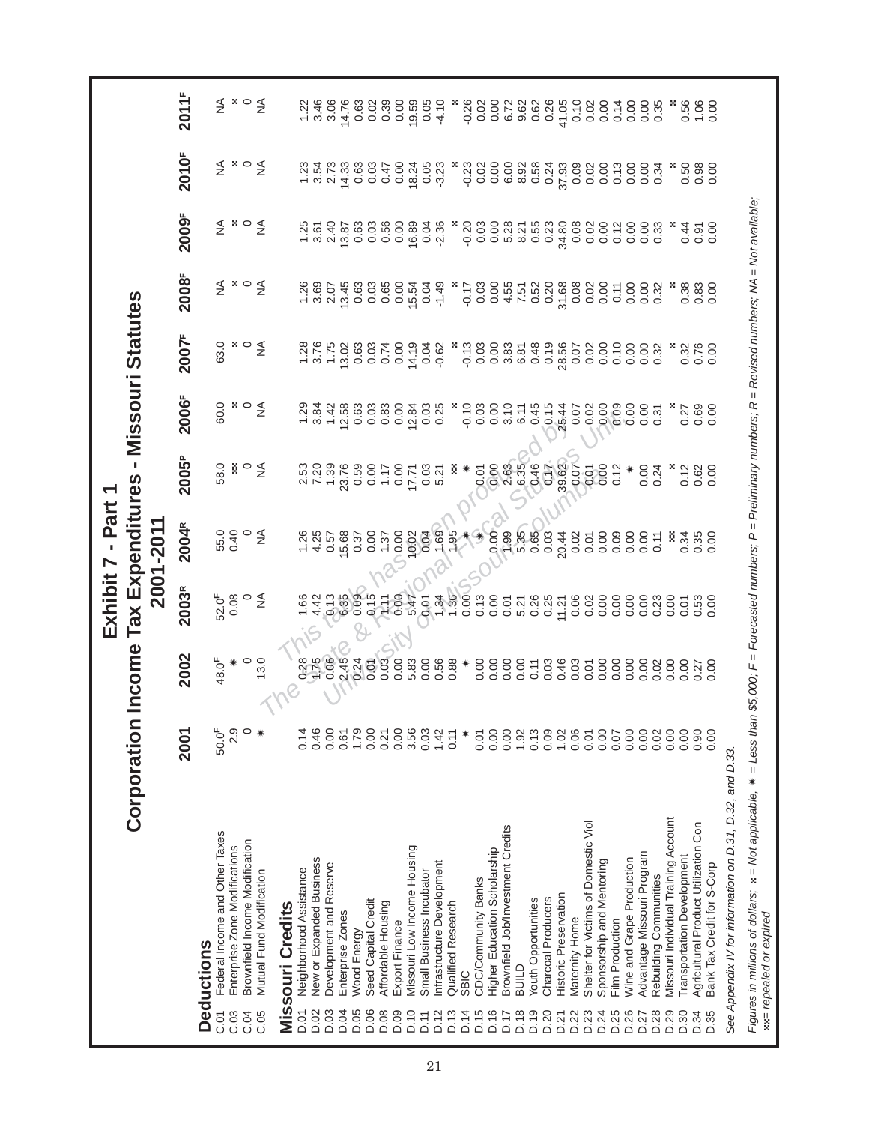|                                                                                                                                                                                                  |                   |         |                      | Exhibit 7 - Part 1            |                   |                    |                                       |                              |                                            |                                                                 |              |
|--------------------------------------------------------------------------------------------------------------------------------------------------------------------------------------------------|-------------------|---------|----------------------|-------------------------------|-------------------|--------------------|---------------------------------------|------------------------------|--------------------------------------------|-----------------------------------------------------------------|--------------|
|                                                                                                                                                                                                  | Corporation       | Income  |                      | Tax Expenditures<br>2001-2011 |                   |                    | - Missouri Statutes                   |                              |                                            |                                                                 |              |
|                                                                                                                                                                                                  | 2001              | 2002    | 2003R                | 2004R                         | 2005 <sup>P</sup> | 2006F              | 2007F                                 | 2008F                        | 2009F                                      | 2010F                                                           | <b>2011F</b> |
| <b>Deductions</b>                                                                                                                                                                                |                   |         |                      |                               |                   |                    |                                       |                              |                                            |                                                                 |              |
| Federal Income and Other Taxes<br>C.01                                                                                                                                                           | 50.0 <sup>F</sup> | 48.0F   | 52.0F                |                               | 58.0              | 60.0               | 63.0                                  |                              |                                            |                                                                 |              |
| Enterprise Zone Modifications<br>C.03                                                                                                                                                            | 2.9               |         | 0.08                 | 55.0<br>0.40                  | š                 |                    |                                       | ≨ ∗∘                         |                                            | ≨ *                                                             |              |
| Brownfield Income Modification<br>C.04                                                                                                                                                           | $\circ$           | $\circ$ | $\circ$              | $\circ$                       | $\circ$           | $\mathbf{x} \circ$ | $\mathbf{x} \circ$                    |                              |                                            | $\circ$                                                         |              |
| Mutual Fund Modification<br>C.05                                                                                                                                                                 | ☀                 | 13.0    | ₹                    | $\leq$                        | $\leq$            | $\leq$             | $\leq$                                | $\leq$                       | ≨ ∗∘≨                                      | $\leq$                                                          | ≨ ∗∘≨        |
|                                                                                                                                                                                                  |                   |         |                      |                               |                   |                    |                                       |                              |                                            |                                                                 |              |
| <b>Missouri Credits</b>                                                                                                                                                                          |                   |         |                      |                               |                   |                    |                                       |                              |                                            |                                                                 |              |
| Neighborhood Assistance<br><b>D.01</b>                                                                                                                                                           | 0.14              | 0.28    | 1.66                 | 1.26                          |                   | 1.29               | 1.28                                  | 1.26                         | 1.25                                       | 1.23                                                            | 1.22         |
| New or Expanded Business<br>D.02                                                                                                                                                                 | 0.46              |         | 4.42                 | 4.25                          | 2.53<br>7.20      | 3.84               | 3.76                                  | 3.69                         | 3.61                                       | 3.54                                                            |              |
| Development and Reserve<br>D.03                                                                                                                                                                  | 0.00              | 0.06    |                      | 0.57                          | 1.39              | 1.42               | 1.75                                  | 2.07                         | 2.40                                       | 2.73                                                            | 3.46<br>3.06 |
| Enterprise Zones<br>D.04                                                                                                                                                                         | 0.61              | 2.45    | 0.13                 | 15.68                         | 23.76             | 12.58              |                                       | 13.45                        | 13.87                                      | 14.33                                                           | 14.76        |
| Wood Energy<br>D.05                                                                                                                                                                              | 1.79              | 0.24    | 0.09                 | 0.37                          | 0.59              | 0.63               |                                       | 0.63                         | 0.63                                       | 0.63                                                            | 0.63         |
| Seed Capital Credit<br>D.06                                                                                                                                                                      | 0.00              | 0.01    | 0.15                 | 0.00                          | 0.00              | 0.03               | $13.02$<br>$0.63$<br>$0.03$<br>$0.74$ | 0.03                         | 0.03                                       | 0.03                                                            | 0.02         |
| Affordable Housing<br>D.08                                                                                                                                                                       | 0.21              | 0.03    | $\tilde{\mathbb{F}}$ | 1.37                          | 1.17              | 0.83               |                                       | 0.65                         | 0.56                                       | 0.47                                                            | 0.39         |
| Export Finance<br>D.09                                                                                                                                                                           | 0.00              | 0.00    | 0.00                 | 0.00                          | 0.00              | 0.00               | 0.00                                  | 0.00                         | 0.00                                       | 0.00                                                            | 0.00         |
| Missouri Low Income Housing<br>D.10                                                                                                                                                              | 3.56              | 5.83    | 5.47                 | 10.02                         | 17.71             | 12.84              |                                       |                              | 16.89                                      | 18.24                                                           | 19.59        |
| Small Business Incubator<br>$\overline{D}$ .11                                                                                                                                                   | 0.03              | 0.00    | 0.01                 | 0.04                          |                   |                    | $14.19$<br>0.04<br>0.62               | $15.54$<br>0.04<br>-1.49     |                                            |                                                                 | 0.05         |
| Infrastructure Development<br>D.12                                                                                                                                                               | 1.42              | 0.56    | $7.\overline{36}$    | 1.69                          | $0.03$<br>5.21    | $0.03$<br>$0.25$   |                                       |                              | 0.04<br>-2.36                              | 0.05                                                            | $-4.10$      |
| Qualified Research<br>D.13                                                                                                                                                                       | 0.11              | 0.88    |                      | 1.95                          | Ř                 |                    |                                       |                              |                                            |                                                                 |              |
| <b>SBIC</b><br>D.14                                                                                                                                                                              | ☀                 |         | 0.00                 |                               |                   | $-0.10$            |                                       |                              |                                            | $-0.23$                                                         | $-0.26$      |
| CDC/Community Banks<br>D.15                                                                                                                                                                      | 0.01              | 0.00    | 0.13                 |                               |                   | 0.03               |                                       |                              |                                            |                                                                 |              |
| Higher Education Scholarship<br>$\frac{6}{1}$<br>≏                                                                                                                                               | 0.00              | 0.00    | 0.00                 | 0.00                          | 0.88              | 0.00               |                                       |                              | 2000 8 8 7 8<br>2000 8 7 8 9<br>2000 8 9 0 | $0.888$<br>$0.0688$                                             |              |
| Brownfield Job/Investment Credits<br>Ξ<br>≏                                                                                                                                                      | 0.00              | 0.00    | 0.01                 | 1.99                          |                   | 3.10               |                                       |                              |                                            |                                                                 |              |
| <b>GTINB</b><br>$\frac{8}{18}$<br>≏                                                                                                                                                              | 1.92              | 0.00    | 5.21                 | 5.35<br>0.65                  | 6.35              | 6.11               |                                       |                              |                                            |                                                                 |              |
| Youth Opportunities<br>D.19                                                                                                                                                                      | 0.13              | 0.11    | 0.26                 |                               | 0.46              | 0.45               |                                       |                              |                                            | 0.58                                                            |              |
| Charcoal Producers<br>D.20                                                                                                                                                                       | 0.09              | 0.03    | 0.25                 | 0.03                          |                   | 0.15               |                                       |                              | 0.23                                       | 0.24<br>37.93                                                   |              |
| Historic Preservation<br>D.21                                                                                                                                                                    | 1.02              | 0.46    | 11.21                | 20.44                         | 39.62             | 25.44              | 28.56                                 | $37.88$<br>$0.020$<br>$0.00$ | 34.80                                      |                                                                 | 41.05        |
| Maternity Home<br>D.22                                                                                                                                                                           | 0.06              | 0.03    | 0.06                 | 0.02                          | 0.07              | 0.07               |                                       |                              | $8882$<br>$00000$                          | $\begin{array}{c} 0.01000 \\ 0.01000 \\ 0.01000 \\ \end{array}$ |              |
| Shelter for Victims of Domestic Viol<br>D.23                                                                                                                                                     | 0.01              | 0.01    | 0.02                 | 0.01                          | 0.01              | 0.02               | 0.02                                  |                              |                                            |                                                                 |              |
| Sponsorship and Mentoring<br>D.24                                                                                                                                                                | 0.00              | 0.00    | 0.00                 | 0.00                          | 0.00              | 0.00               |                                       |                              |                                            |                                                                 |              |
| Film Production<br>D.25                                                                                                                                                                          | 0.07              | 0.00    | 0.00                 | 0.09                          | 0.12              | 0.00000            | 0.10                                  | 0.11                         |                                            |                                                                 |              |
| Wine and Grape Production<br>D.26                                                                                                                                                                | 0.00              | 0.00    | 0.00                 | 0.00                          |                   |                    | 0.00                                  | 0.00                         | 0.00                                       |                                                                 |              |
| Advantage Missouri Program<br>D.27                                                                                                                                                               | 0.00              | 0.00    | 0.00                 | 0.00                          | 0.00              | 0.00               | 0.32                                  | 0.00                         | 0.00                                       | 0.34                                                            |              |
| Rebuilding Communities<br>D.28                                                                                                                                                                   | 0.02              | 0.02    | 0.23                 | 0.11                          | 0.24              | 0.31               |                                       | 0.32                         | 0.33                                       |                                                                 |              |
| Missouri Individual Training Account<br>D.29                                                                                                                                                     | 0.00              | 0.00    | 0.00                 |                               |                   |                    |                                       |                              |                                            |                                                                 |              |
| <b>Transportation Development</b><br>D.30                                                                                                                                                        | 0.00              | 0.00    | 0.01                 | 0.34                          | 0.12              | 0.27               | 0.32                                  | 0.38                         | 0.44                                       | 0.50                                                            |              |
| Agricultural Product Utilization Con<br>D.34                                                                                                                                                     | 0.90              | 0.27    | 0.53                 | 0.35                          | 0.62              | 0.69               | 0.76                                  | 0.83                         | 0.91                                       | 0.98                                                            |              |
| Bank Tax Credit for S-Corp<br>35<br>$\Box$                                                                                                                                                       | 0.00              | 0.00    | 0.00                 | 0.00                          | 0.00              | 0.00               | 0.00                                  | 0.00                         | 0.00                                       | 0.00                                                            | 0.888        |
| See Appendix IV for information on D.31, D.32, and D.33.                                                                                                                                         |                   |         |                      |                               |                   |                    |                                       |                              |                                            |                                                                 |              |
|                                                                                                                                                                                                  |                   |         |                      |                               |                   |                    |                                       |                              |                                            |                                                                 |              |
| Figures in millions of dollars; x = Not applicable, * = Less than \$5,000; F = Forecasted numbers; P = Preliminary numbers; R = Revised numbers; NA = Not available;<br>sale repealed or expired |                   |         |                      |                               |                   |                    |                                       |                              |                                            |                                                                 |              |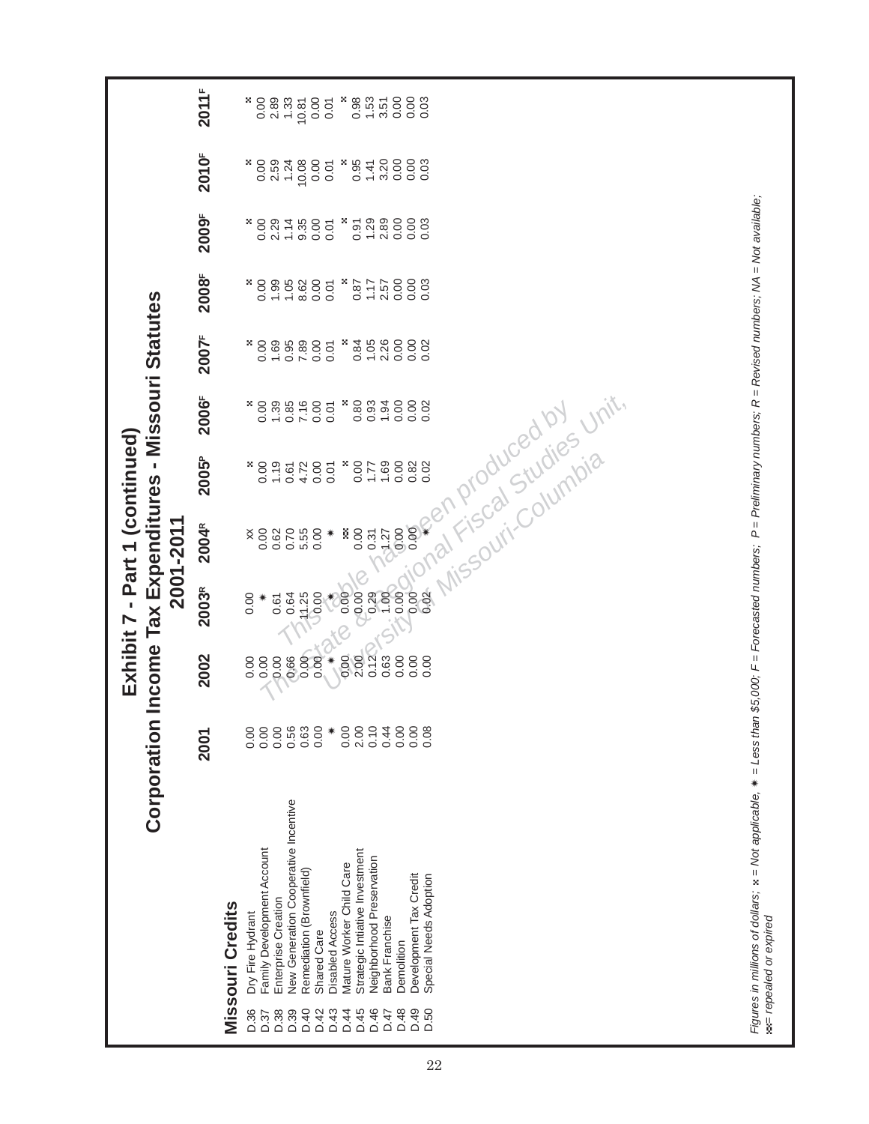|    |                                                                                                              | Corporation                                                                                                                                                                                                                                                                                                                                                                                         |                                                                                                           | Income Tax Expenditures - Missouri Statutes                                                                 | Exhibit 7 - Part 1 (continued)                                                        | 2001-2011                                                                                                                    |                                                                                                                                                |                                                                                                                 |                                                                                                         |                                                                                                        |                                                                                                        |                                                                                                          |                                                                                                         |
|----|--------------------------------------------------------------------------------------------------------------|-----------------------------------------------------------------------------------------------------------------------------------------------------------------------------------------------------------------------------------------------------------------------------------------------------------------------------------------------------------------------------------------------------|-----------------------------------------------------------------------------------------------------------|-------------------------------------------------------------------------------------------------------------|---------------------------------------------------------------------------------------|------------------------------------------------------------------------------------------------------------------------------|------------------------------------------------------------------------------------------------------------------------------------------------|-----------------------------------------------------------------------------------------------------------------|---------------------------------------------------------------------------------------------------------|--------------------------------------------------------------------------------------------------------|--------------------------------------------------------------------------------------------------------|----------------------------------------------------------------------------------------------------------|---------------------------------------------------------------------------------------------------------|
|    |                                                                                                              |                                                                                                                                                                                                                                                                                                                                                                                                     | 2001                                                                                                      | 2002                                                                                                        | 2003R                                                                                 | 2004R                                                                                                                        | 2005 <sup>P</sup>                                                                                                                              | 2006 <sup>F</sup>                                                                                               | 2007F                                                                                                   | 2008F                                                                                                  | 2009F                                                                                                  | 2010F                                                                                                    | 2011F                                                                                                   |
| 22 | D.36<br>D.38<br>D.39<br>D.45<br>D.46<br>D.48<br>D.49<br>D.50<br>D.40<br>D.42<br>D.43<br>D.44<br>D.47<br>D.37 | New Generation Cooperative Incentive<br>Family Development Account<br>Strategic Intiative Investment<br>Neighborhood Preservation<br>Mature Worker Child Care<br>Remediation (Brownfield)<br>Special Needs Adoption<br>Development Tax Credit<br>Enterprise Creation<br><b>Missouri Credits</b><br><b>Disabled Access</b><br>Dry Fire Hydrant<br>Bank Franchise<br><b>Shared Care</b><br>Demolition | 0.63<br>2.00<br>0.10<br>0.44<br>0.00<br>0.00<br>0.00<br>0.00<br>0.56<br>0.00<br>0.00<br>0.08<br>0.00<br>☀ | 0.12<br>0.00<br>$*$<br>2.00<br>0.63<br>0.00<br>0.00<br>0.00<br>0.00<br>0.66<br>0.00<br>0.00<br>0.00<br>0.00 | 0.00<br>0.00<br>8800<br>0.29<br>0.02<br>1.00<br>0.64<br>14.25<br>0.00<br>0.00<br>0.61 | 0.00<br>0.00<br>0.00<br>Ř<br>0.00<br>0.62<br>0.70<br>5.55<br>0.00<br>0.31<br>$\sqrt{3}$ .27<br>×<br>☀<br>vay<br><b>Nisst</b> | t <sup>cal Studies</sup><br>Columbia<br>1.19<br>×<br>0.00<br>1.69<br>0.00<br>0.82<br>×<br>0.00<br>4.72<br>0.00<br>0.02<br>1.77<br>0.61<br>0.01 | Unit.<br>0.80<br>0.93<br>0.00<br>1.39<br>×<br>1.94<br>0.00<br>0.00<br>×<br>0.85<br>7.16<br>0.00<br>0.02<br>0.01 | 0.84<br>1.05<br>2.26<br>0.00<br>1.69<br>7.89<br>0.00<br>×<br>0.00<br>0.00<br>×,<br>0.95<br>0.02<br>0.01 | 1.99<br>×<br>0.00<br>×<br>0.00<br>1.05<br>8.62<br>0.00<br>1.17<br>0.00<br>0.87<br>2.57<br>0.03<br>0.01 | 2.89<br>2.29<br>1.14<br>9.35<br>×<br>1.29<br>0.00<br>×<br>0.00<br>0.00<br>0.91<br>0.00<br>0.03<br>0.01 | 2.59<br>3.20<br>×,<br>0.00<br>1.24<br>10.08<br>0.00<br>×<br>0.95<br>0.00<br>1.41<br>0.00<br>0.03<br>0.01 | 0.00<br>0.00<br>2.89<br>1.33<br>0.00<br>×<br>0.98<br>1.53<br>0.00<br>0.03<br>×<br>10.81<br>3.51<br>0.01 |
|    |                                                                                                              | Figures in millions of dollars; x = Not applicable, * = Less than \$5,000; F = Forecasted numbers; P = Preliminary numbers; R = Revised numbers; NA = Not available;<br>sat repealed or expired                                                                                                                                                                                                     |                                                                                                           |                                                                                                             |                                                                                       |                                                                                                                              |                                                                                                                                                |                                                                                                                 |                                                                                                         |                                                                                                        |                                                                                                        |                                                                                                          |                                                                                                         |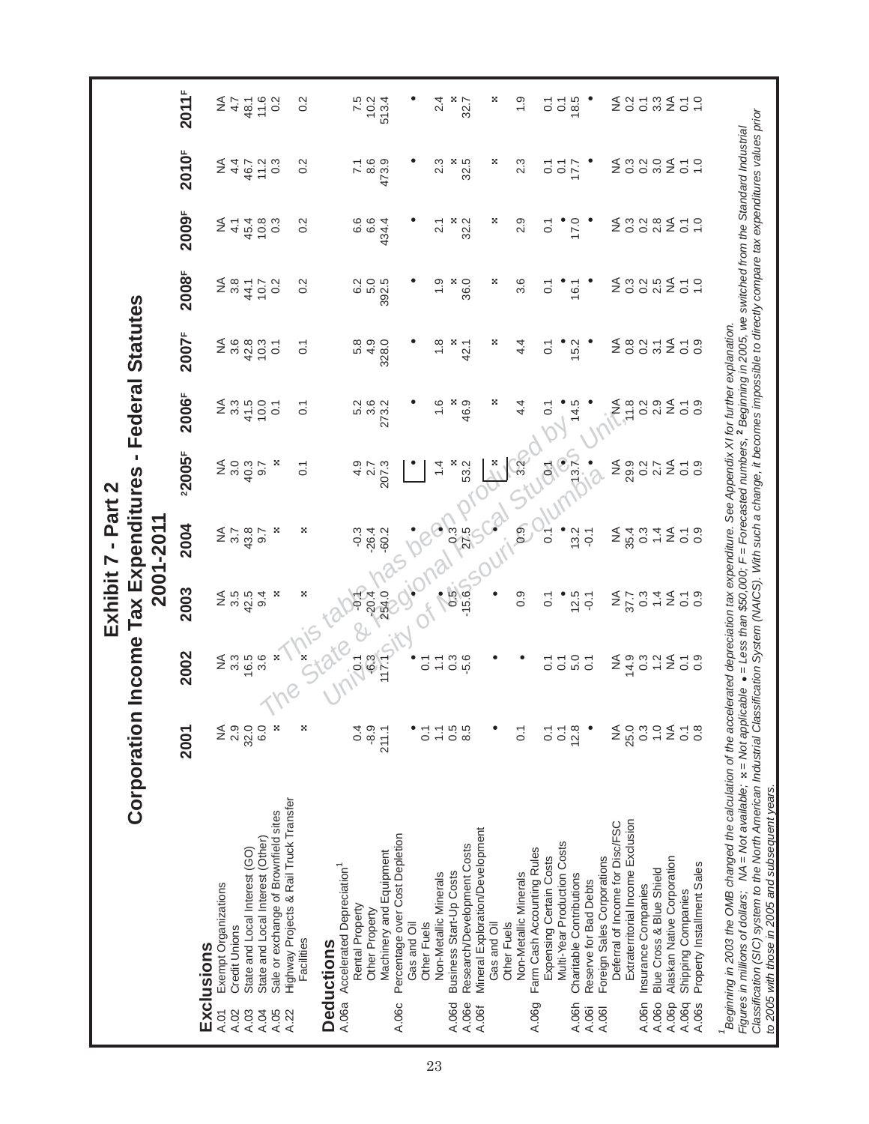|                                                                                                                                                                                                                                                                                                                                                                                 | Corporation Income Tax Expenditures - Federal Statutes |                                                                                     |                       | Exhibit 7 - Part 2           |                  |                              |                       |                              |                              |                        |                          |
|---------------------------------------------------------------------------------------------------------------------------------------------------------------------------------------------------------------------------------------------------------------------------------------------------------------------------------------------------------------------------------|--------------------------------------------------------|-------------------------------------------------------------------------------------|-----------------------|------------------------------|------------------|------------------------------|-----------------------|------------------------------|------------------------------|------------------------|--------------------------|
|                                                                                                                                                                                                                                                                                                                                                                                 |                                                        |                                                                                     |                       | 2001-2011                    |                  |                              |                       |                              |                              |                        |                          |
|                                                                                                                                                                                                                                                                                                                                                                                 | 2001                                                   | 2002                                                                                | 2003                  | 2004                         | 22005F           | 2006F                        | 2007F                 | 2008F                        | 2009F                        | 2010F                  | 2011 <sup>F</sup>        |
| Exclusions                                                                                                                                                                                                                                                                                                                                                                      |                                                        |                                                                                     |                       |                              |                  |                              |                       |                              |                              |                        |                          |
| Exempt Organizations<br>Credit Unions<br>A.01<br>A.02                                                                                                                                                                                                                                                                                                                           | $\frac{4}{2}$ $\frac{6}{2}$                            | $\mathop{\mathsf{Z}}\limits^{\mathsf{A}}$ $\mathop{\mathsf{S}}\limits^{\mathsf{A}}$ | 2.5                   | $2\frac{8}{2}$               | 3.0<br>≨         | ≨ ຕ<br>≥ິຕ                   | $2\frac{6}{3}$        | $\frac{4}{5}$ $\frac{8}{5}$  | ≨<br>4.1                     | ≨<br>4.4               | $rac{4}{5}$              |
| State and Local Interest (GO)<br>A.03                                                                                                                                                                                                                                                                                                                                           | 32.0                                                   | 16.5                                                                                | 42.5                  | 43.8                         | 40.3             | 41.5                         | 42.8                  | 44.1                         | 45.4                         | 46.7                   |                          |
| State and Local Interest (Other)<br>A.04                                                                                                                                                                                                                                                                                                                                        | 6.0                                                    | $3.\overline{6}$                                                                    | 9.4                   | 9.7                          | $\overline{9.7}$ | 10.0                         | 10.3                  | 10.7                         | 10.8                         | 11.2                   | $48.1$<br>$7.6$<br>$0.2$ |
| Sale or exchange of Brownfield sites<br>A.05                                                                                                                                                                                                                                                                                                                                    | ×                                                      | ×                                                                                   | ×                     | ×                            | ×                | $\overline{C}$               | $\overline{0}$ :      | 0.2                          | 0.3                          | 0.3                    |                          |
| Highway Projects & Rail Truck Transfer<br>A.22                                                                                                                                                                                                                                                                                                                                  |                                                        |                                                                                     |                       |                              |                  |                              |                       |                              |                              |                        |                          |
| Facilities                                                                                                                                                                                                                                                                                                                                                                      | ×                                                      |                                                                                     | ×                     | ×                            | $\overline{0}$ . | $\overline{0}$               | $\overline{O}$        | 0.2                          | 0.2                          | 0.2                    | 0.2                      |
| <b>Deductions</b>                                                                                                                                                                                                                                                                                                                                                               |                                                        |                                                                                     |                       |                              |                  |                              |                       |                              |                              |                        |                          |
| A.06a Accelerated Depreciation <sup>1</sup>                                                                                                                                                                                                                                                                                                                                     |                                                        |                                                                                     |                       |                              |                  |                              |                       |                              |                              |                        |                          |
| Rental Property                                                                                                                                                                                                                                                                                                                                                                 | 0.4                                                    | $-36$                                                                               |                       | $-0.3$                       | 4.9              | 5.2                          | 5.8                   | 6.2                          | 6.6                          | 7.1                    | 7.5                      |
| Other Property                                                                                                                                                                                                                                                                                                                                                                  | $-8.9$                                                 |                                                                                     | $-20.4$               | $-26.4$                      | 2.7              | 3.6                          | 4.9                   | 5.0                          | 6.6                          | 8.6                    | 10.2                     |
| Machinery and Equipment                                                                                                                                                                                                                                                                                                                                                         | 211.1                                                  | 117.1                                                                               | 254.0                 | $-60.2$                      | 207.3            | 273.2                        | 328.0                 | 392.5                        | 434.4                        | 473.9                  | 513.4                    |
| Percentage over Cost Depletion<br>Gas and Oil<br>A.06c                                                                                                                                                                                                                                                                                                                          |                                                        |                                                                                     |                       |                              |                  |                              |                       |                              |                              |                        |                          |
| Other Fuels                                                                                                                                                                                                                                                                                                                                                                     | ៍                                                      | $\overline{C}$                                                                      |                       |                              |                  |                              |                       |                              |                              |                        |                          |
| Non-Metallic Minerals                                                                                                                                                                                                                                                                                                                                                           | $\overline{1}$                                         | $\overleftarrow{\cdot}$                                                             |                       |                              | $\frac{4}{4}$    | $\frac{6}{1}$                | $\frac{8}{1}$         | $\frac{0}{1}$                | 2.1                          | 2.3                    | 2.4                      |
| Business Start-Up Costs<br>A.06d                                                                                                                                                                                                                                                                                                                                                | 0.5                                                    | $0.\overline{3}$                                                                    | $0.5^{\circ}$         | 0.3 <sub>1</sub>             | ×                | 46.9                         | х.                    | ×                            | ×                            | $\frac{8}{32.5}$       | ×                        |
| Research/Development Costs<br>A.06e                                                                                                                                                                                                                                                                                                                                             | 8.5                                                    | $-5.6$                                                                              | $-15.6$               | 27.5                         | 53.2             |                              | 42.1                  | 36.0                         | 32.2                         |                        | 32.7                     |
| Mineral Exploration/Development<br>Gas and Oil<br>A.06f                                                                                                                                                                                                                                                                                                                         |                                                        |                                                                                     |                       |                              |                  |                              |                       |                              |                              |                        |                          |
| Other Fuels                                                                                                                                                                                                                                                                                                                                                                     |                                                        |                                                                                     |                       |                              | ×.               | ×                            | ×                     | ×                            | ×                            | ×                      | ×                        |
| Non-Metallic Minerals                                                                                                                                                                                                                                                                                                                                                           | $\overline{0}$                                         |                                                                                     | 0.9                   | 0.9                          | $3.2^{11}$       | 4.4                          | 4.4                   | ვ<br>ვ                       | 2.9                          | 2.3                    | $\frac{0}{1}$            |
| Farm Cash Accounting Rules<br>A.06g                                                                                                                                                                                                                                                                                                                                             |                                                        |                                                                                     |                       |                              |                  |                              |                       |                              |                              |                        |                          |
| Expensing Certain Costs                                                                                                                                                                                                                                                                                                                                                         | $\overline{0}$ .                                       | $\overline{C}$                                                                      | $\overline{\text{o}}$ | $\tilde{c}$                  | $\vec{e}$        | $\overline{O}$               | $\overline{C}$        | $\overline{0}$ :             | $\overline{C}$               | $\overline{O}$         | $\overline{O}$           |
| Multi-Year Production Costs<br>Charitable Contributions<br>A.06h                                                                                                                                                                                                                                                                                                                | 12.8<br>$\overline{0}$ :                               |                                                                                     | 12.5                  | 13.2                         | (13.7)           | 14.5                         | 15.2                  | 16.1                         | 17.0                         | $\overline{O}$<br>17.7 | 18.5<br>$\overline{O}$   |
| Reserve for Bad Debts<br>A.06i                                                                                                                                                                                                                                                                                                                                                  |                                                        | $\begin{array}{c} 7 & 0 \\ 0 & 0 \\ 0 & 0 \end{array}$                              | $-0.1$                | $-0.1$                       |                  |                              |                       |                              |                              |                        |                          |
| Foreign Sales Corporations<br>A.061                                                                                                                                                                                                                                                                                                                                             |                                                        |                                                                                     |                       |                              |                  |                              |                       |                              |                              |                        |                          |
| Deferral of Income for Disc/FSC                                                                                                                                                                                                                                                                                                                                                 |                                                        | ≨                                                                                   | ≨                     | $\frac{4}{2}$                | ≨                | ≨                            | ≨                     | ₹                            | $\frac{4}{2}$                | ≸                      | ≨                        |
| Extraterritorial Income Exclusion                                                                                                                                                                                                                                                                                                                                               | NA<br>25.0                                             | 14.9                                                                                | 37.7                  | 35.4                         | 29.9             | 11.8                         | $0.\overline{8}$      | $0.\overline{3}$             | $0.\overline{3}$             | $0.\overline{3}$       | 0.2                      |
| Insurance Companies<br>A.06n                                                                                                                                                                                                                                                                                                                                                    | $0.\overline{3}$                                       | 0.3                                                                                 | $0.\overline{3}$      | $0.\overline{3}$             | 0.2              | $0.\overline{2}$             | $0.\overline{2}$      | $0.\overline{2}$             | 0.2                          | 0.2                    | $\overline{O}$           |
| Blue Cross & Blue Shield<br>A.06o                                                                                                                                                                                                                                                                                                                                               | $\overline{1}$ .0                                      | 1.2                                                                                 | $1\overline{4}$       | 1.4                          | 2.7              | 2.9                          | 3.1                   | 2.5                          | $2.\overline{8}$             | 3.0                    | $3.\overline{3}$         |
| Alaskan Native Corporation<br>A.06p                                                                                                                                                                                                                                                                                                                                             | $\lessgtr$                                             | $\stackrel{\triangle}{\geq}$                                                        | $\frac{4}{2}$         | $\stackrel{\triangle}{\geq}$ | $\lessgtr$       | $\stackrel{\triangle}{\geq}$ | $\lessgtr$            | $\stackrel{\triangle}{\geq}$ | $\stackrel{\triangle}{\geq}$ | $\lessgtr$             | ₹                        |
| Shipping Companies<br>A.06q                                                                                                                                                                                                                                                                                                                                                     | $\overline{0}$ .                                       | $\frac{1}{0}$ .0                                                                    | $\frac{1}{0}$ .9      | $\overline{\text{o}}$        | $\overline{0}$ . | $\overline{O}$               | $\overline{\text{o}}$ | $\overline{\circ}$           | $\overline{O}$               | $\overline{O}$ .       | $\overline{0}$ .         |
| Property Installment Sales<br>A.06s                                                                                                                                                                                                                                                                                                                                             | $0.\overline{8}$                                       |                                                                                     |                       | 0.9                          | 0.9              | 0.9                          | $0.\overline{9}$      | 1.0                          | 1.0                          | $\overline{1}$ .0      | $\frac{0}{1}$            |
| a deginning in 2003 the OMB changed the calculation of the accelerated depreciation tax expenditure. See Appendix XI for further explanation.                                                                                                                                                                                                                                   |                                                        |                                                                                     |                       |                              |                  |                              |                       |                              |                              |                        |                          |
| Classification (SIC) system to the North American Industrial Classification System (NAICS). With such a change, it becomes impossible to directly compare tax expenditures values prior<br>Figures in millions of dollars; NA = Not available; x = Not applicable . = Less than \$50,000; F = Forecasted numbers, 2 Beginning in 2005, we switched from the Standard Industrial |                                                        |                                                                                     |                       |                              |                  |                              |                       |                              |                              |                        |                          |
| to 2005 with those in 2005 and subsequent years.                                                                                                                                                                                                                                                                                                                                |                                                        |                                                                                     |                       |                              |                  |                              |                       |                              |                              |                        |                          |